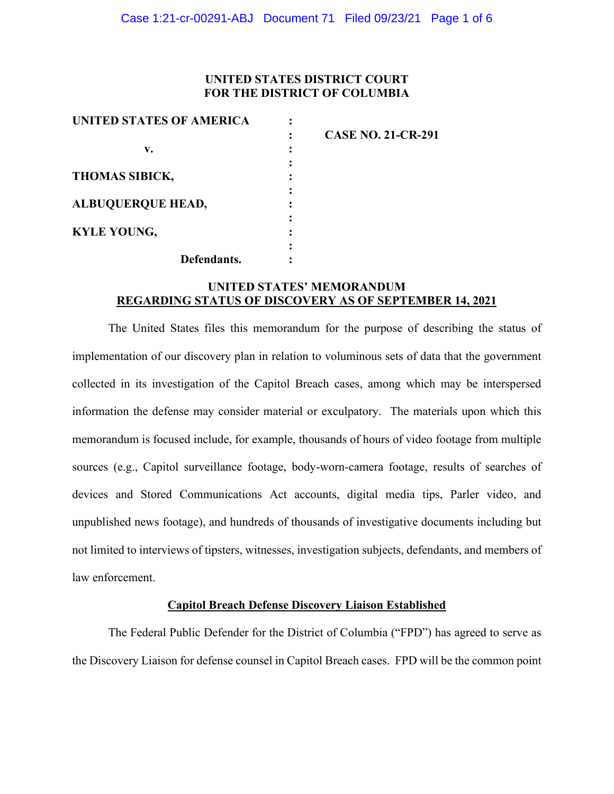## **UNITED STATES DISTRICT COURT FOR THE DISTRICT OF COLUMBIA**

| UNITED STATES OF AMERICA                                |                           |
|---------------------------------------------------------|---------------------------|
|                                                         | <b>CASE NO. 21-CR-291</b> |
| v.<br><b>THOMAS SIBICK,</b><br><b>ALBUQUERQUE HEAD,</b> |                           |
|                                                         |                           |
|                                                         |                           |
|                                                         |                           |
|                                                         |                           |
| <b>KYLE YOUNG,</b>                                      |                           |
|                                                         |                           |
| Defendants.                                             |                           |

# **UNITED STATES' MEMORANDUM REGARDING STATUS OF DISCOVERY AS OF SEPTEMBER 14, 2021**

The United States files this memorandum for the purpose of describing the status of implementation of our discovery plan in relation to voluminous sets of data that the government collected in its investigation of the Capitol Breach cases, among which may be interspersed information the defense may consider material or exculpatory. The materials upon which this memorandum is focused include, for example, thousands of hours of video footage from multiple sources (e.g., Capitol surveillance footage, body-worn-camera footage, results of searches of devices and Stored Communications Act accounts, digital media tips, Parler video, and unpublished news footage), and hundreds of thousands of investigative documents including but not limited to interviews of tipsters, witnesses, investigation subjects, defendants, and members of law enforcement.

#### **Capitol Breach Defense Discovery Liaison Established**

The Federal Public Defender for the District of Columbia ("FPD") has agreed to serve as the Discovery Liaison for defense counsel in Capitol Breach cases. FPD will be the common point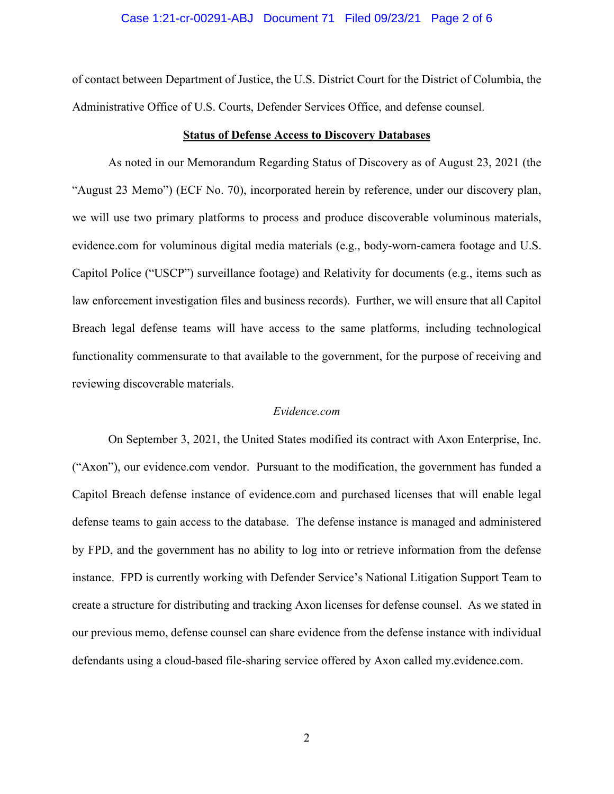#### Case 1:21-cr-00291-ABJ Document 71 Filed 09/23/21 Page 2 of 6

of contact between Department of Justice, the U.S. District Court for the District of Columbia, the Administrative Office of U.S. Courts, Defender Services Office, and defense counsel.

#### **Status of Defense Access to Discovery Databases**

As noted in our Memorandum Regarding Status of Discovery as of August 23, 2021 (the "August 23 Memo") (ECF No. 70), incorporated herein by reference, under our discovery plan, we will use two primary platforms to process and produce discoverable voluminous materials, evidence.com for voluminous digital media materials (e.g., body-worn-camera footage and U.S. Capitol Police ("USCP") surveillance footage) and Relativity for documents (e.g., items such as law enforcement investigation files and business records). Further, we will ensure that all Capitol Breach legal defense teams will have access to the same platforms, including technological functionality commensurate to that available to the government, for the purpose of receiving and reviewing discoverable materials.

## *Evidence.com*

On September 3, 2021, the United States modified its contract with Axon Enterprise, Inc. ("Axon"), our evidence.com vendor. Pursuant to the modification, the government has funded a Capitol Breach defense instance of evidence.com and purchased licenses that will enable legal defense teams to gain access to the database. The defense instance is managed and administered by FPD, and the government has no ability to log into or retrieve information from the defense instance. FPD is currently working with Defender Service's National Litigation Support Team to create a structure for distributing and tracking Axon licenses for defense counsel. As we stated in our previous memo, defense counsel can share evidence from the defense instance with individual defendants using a cloud-based file-sharing service offered by Axon called my.evidence.com.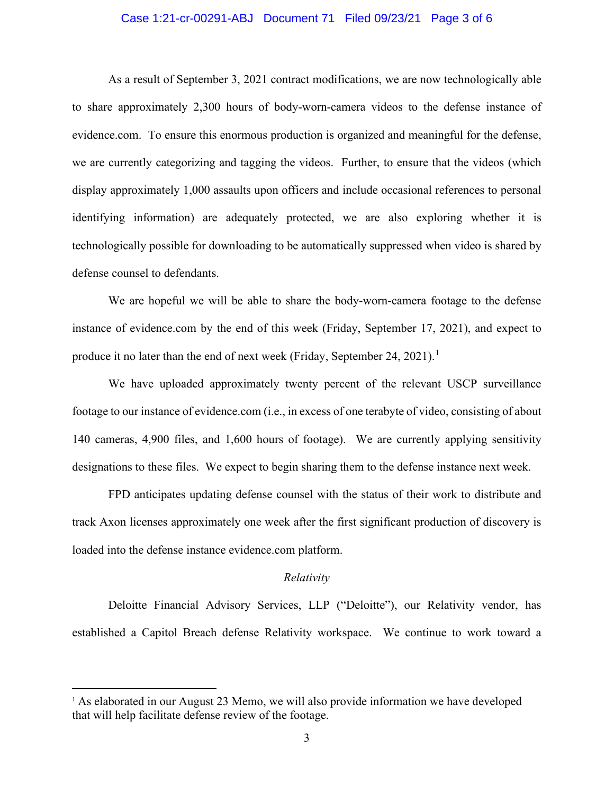### Case 1:21-cr-00291-ABJ Document 71 Filed 09/23/21 Page 3 of 6

As a result of September 3, 2021 contract modifications, we are now technologically able to share approximately 2,300 hours of body-worn-camera videos to the defense instance of evidence.com. To ensure this enormous production is organized and meaningful for the defense, we are currently categorizing and tagging the videos. Further, to ensure that the videos (which display approximately 1,000 assaults upon officers and include occasional references to personal identifying information) are adequately protected, we are also exploring whether it is technologically possible for downloading to be automatically suppressed when video is shared by defense counsel to defendants.

We are hopeful we will be able to share the body-worn-camera footage to the defense instance of evidence.com by the end of this week (Friday, September 17, 2021), and expect to produce it no later than the end of next week (Friday, September 24, 2021).<sup>1</sup>

We have uploaded approximately twenty percent of the relevant USCP surveillance footage to our instance of evidence.com (i.e., in excess of one terabyte of video, consisting of about 140 cameras, 4,900 files, and 1,600 hours of footage). We are currently applying sensitivity designations to these files. We expect to begin sharing them to the defense instance next week.

FPD anticipates updating defense counsel with the status of their work to distribute and track Axon licenses approximately one week after the first significant production of discovery is loaded into the defense instance evidence.com platform.

#### *Relativity*

Deloitte Financial Advisory Services, LLP ("Deloitte"), our Relativity vendor, has established a Capitol Breach defense Relativity workspace. We continue to work toward a

<sup>&</sup>lt;sup>1</sup> As elaborated in our August 23 Memo, we will also provide information we have developed that will help facilitate defense review of the footage.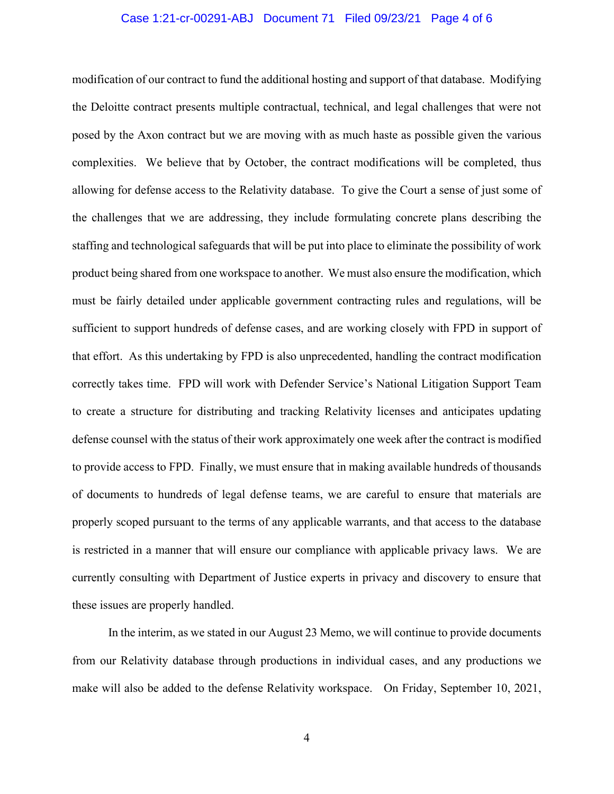#### Case 1:21-cr-00291-ABJ Document 71 Filed 09/23/21 Page 4 of 6

modification of our contract to fund the additional hosting and support of that database. Modifying the Deloitte contract presents multiple contractual, technical, and legal challenges that were not posed by the Axon contract but we are moving with as much haste as possible given the various complexities. We believe that by October, the contract modifications will be completed, thus allowing for defense access to the Relativity database. To give the Court a sense of just some of the challenges that we are addressing, they include formulating concrete plans describing the staffing and technological safeguards that will be put into place to eliminate the possibility of work product being shared from one workspace to another. We must also ensure the modification, which must be fairly detailed under applicable government contracting rules and regulations, will be sufficient to support hundreds of defense cases, and are working closely with FPD in support of that effort. As this undertaking by FPD is also unprecedented, handling the contract modification correctly takes time. FPD will work with Defender Service's National Litigation Support Team to create a structure for distributing and tracking Relativity licenses and anticipates updating defense counsel with the status of their work approximately one week after the contract is modified to provide access to FPD. Finally, we must ensure that in making available hundreds of thousands of documents to hundreds of legal defense teams, we are careful to ensure that materials are properly scoped pursuant to the terms of any applicable warrants, and that access to the database is restricted in a manner that will ensure our compliance with applicable privacy laws. We are currently consulting with Department of Justice experts in privacy and discovery to ensure that these issues are properly handled.

In the interim, as we stated in our August 23 Memo, we will continue to provide documents from our Relativity database through productions in individual cases, and any productions we make will also be added to the defense Relativity workspace. On Friday, September 10, 2021,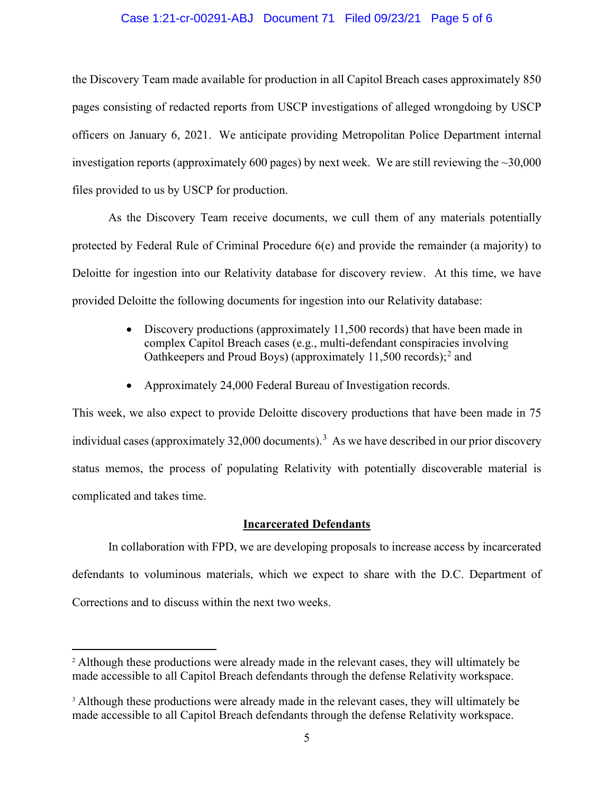### Case 1:21-cr-00291-ABJ Document 71 Filed 09/23/21 Page 5 of 6

the Discovery Team made available for production in all Capitol Breach cases approximately 850 pages consisting of redacted reports from USCP investigations of alleged wrongdoing by USCP officers on January 6, 2021. We anticipate providing Metropolitan Police Department internal investigation reports (approximately 600 pages) by next week. We are still reviewing the  $\sim$ 30,000 files provided to us by USCP for production.

As the Discovery Team receive documents, we cull them of any materials potentially protected by Federal Rule of Criminal Procedure 6(e) and provide the remainder (a majority) to Deloitte for ingestion into our Relativity database for discovery review. At this time, we have provided Deloitte the following documents for ingestion into our Relativity database:

- Discovery productions (approximately 11,500 records) that have been made in complex Capitol Breach cases (e.g., multi-defendant conspiracies involving Oathkeepers and Proud Boys) (approximately 11,500 records); <sup>2</sup> and
- Approximately 24,000 Federal Bureau of Investigation records.

This week, we also expect to provide Deloitte discovery productions that have been made in 75 individual cases (approximately 32,000 documents).<sup>3</sup> As we have described in our prior discovery status memos, the process of populating Relativity with potentially discoverable material is complicated and takes time.

### **Incarcerated Defendants**

In collaboration with FPD, we are developing proposals to increase access by incarcerated defendants to voluminous materials, which we expect to share with the D.C. Department of Corrections and to discuss within the next two weeks.

<sup>&</sup>lt;sup>2</sup> Although these productions were already made in the relevant cases, they will ultimately be made accessible to all Capitol Breach defendants through the defense Relativity workspace.

<sup>&</sup>lt;sup>3</sup> Although these productions were already made in the relevant cases, they will ultimately be made accessible to all Capitol Breach defendants through the defense Relativity workspace.